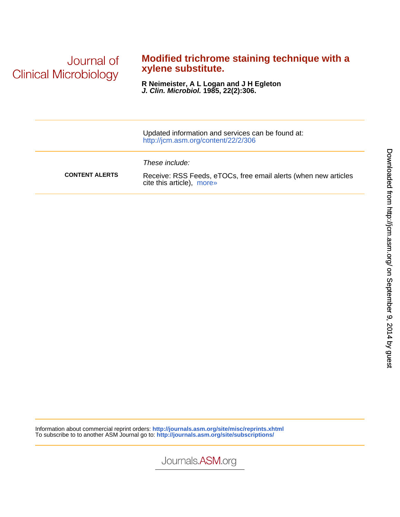Journal of **Clinical Microbiology** 

## **xylene substitute. Modified trichrome staining technique with a**

**J. Clin. Microbiol. 1985, 22(2):306. R Neimeister, A L Logan and J H Egleton**

|                       | Updated information and services can be found at:<br>http://jcm.asm.org/content/22/2/306                       |
|-----------------------|----------------------------------------------------------------------------------------------------------------|
| <b>CONTENT ALERTS</b> | These include:<br>Receive: RSS Feeds, eTOCs, free email alerts (when new articles<br>cite this article), more» |

Information about commercial reprint orders: **<http://journals.asm.org/site/misc/reprints.xhtml>** To subscribe to to another ASM Journal go to: **<http://journals.asm.org/site/subscriptions/>**

Journals.ASM.org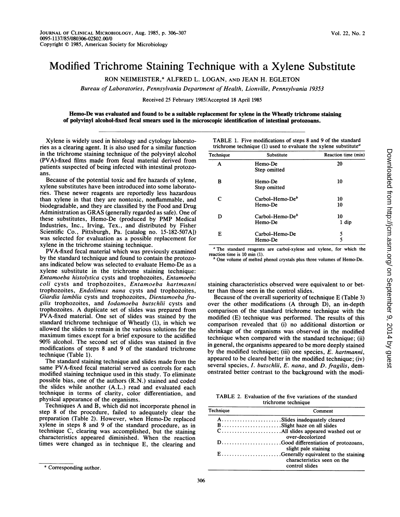## Modified Trichrome Staining Technique with a Xylene Substitute

RON NEIMEISTER,\* ALFRED L. LOGAN, AND JEAN H. EGLETON

Bureau of Laboratories, Pennsylvania Department of Health, Lionville, Pennsylvania 19353

Received 25 February 1985/Accepted 18 April 1985

## Hemo-De was evaluated and found to be a suitable replacement for xylene in the Wheatly trichrome staining of polyvinyl alcohol-fixed fecal smears used in the microscopic identification of intestinal protozoans.

Xylene is widely used in histology and cytology laboratories as a clearing agent. It is also used for a similar function in the trichrome staining technique of the polyvinyl alcohol (PVA)-fixed films made from fecal material derived from patients suspected of being infected with intestinal protozoans.

Because of the potential toxic and fire hazards of xylene, xylene substitutes have been introduced into some laboratories. These newer reagents are reportedly less hazardous than xylene in that they are nontoxic, nonflammable, and biodegradable, and they are classified by the Food and Drug Administration as GRAS (generally regarded as safe). One of these substitutes, Hemo-De (produced by PMP Medical Industries, Inc., Irving, Tex., and distributed by Fisher Scientific Co., Pittsburgh, Pa. [catalog no. 15-182-507A]) was selected for evaluation as a possible replacement for xylene in the trichrome staining technique.

PVA-fixed fecal material which was previously examined by the standard technique and found to contain the protozoans indicated below was selected to evaluate Hemo-De as a xylene substitute in the trichrome staining technique: Entamoeba histolytica cysts and trophozoites, Entamoeba coli cysts and trophozoites, Entamoeba hartmanni trophozoites, Endolimax nana cysts and trophozoites, Giardia lamblia cysts and trophozoites, Dientamoeba fragilis trophozoites, and Iodamoeba butschlii cysts and trophozoites. A duplicate set of slides was prepared from PVA-fixed material. One set of slides was stained by the standard trichrome technique of Wheatly (1), in which we allowed the slides to remain in the various solutions for the maximum times except for a brief exposure to the acidified 90% alcohol. The second set of slides was stained in five modifications of steps 8 and 9 of the standard trichrome technique (Table 1).

The standard staining technique and slides made from the same PVA-fixed fecal material served as controls for each modified staining technique used in this study. To eliminate possible bias, one of the authors (R.N.) stained and coded the slides while another (A.L.) read and evaluated each technique in terms of clarity, color differentiation, and physical appearance of the organisms.

Techniques A and B, which did not incorporate phenol in step 8 of the procedure, failed to adequately clear the preparation (Table 2). However, when Hemo-De replaced xylene in steps 8 and 9 of the standard procedure, as in technique C, clearing was accomplished, but the staining characteristics appeared diminished. When the reaction times were changed as in technique E, the clearing and

TABLE 1. Five modifications of steps <sup>8</sup> and <sup>9</sup> of the standard trichrome technique (1) used to evaluate the xylene substitute<sup>a</sup>

| Technique | Substitute                    | Reaction time (min) |
|-----------|-------------------------------|---------------------|
| A         | Hemo-De<br>Step omitted       | 20                  |
| в         | Hemo-De<br>Step omitted       | 10                  |
| C         | Carbol-Hemo-De $b$<br>Hemo-De | 10<br>10            |
| D         | Carbol–Hemo-De $b$<br>Hemo-De | 10<br>1 dip         |
| E         | Carbol–Hemo-De<br>Hemo-De     | 5<br>5              |

<sup>a</sup> The standard reagents are carbol-xylene and xylene, for which the reaction time is 10 min (1).

One volume of melted phenol crystals plus three volumes of Hemo-De.

staining characteristics observed were equivalent to or better than those seen in the control slides.

Because of the overall superiority of technique E (Table 3) over the other modifications (A through D), an in-depth comparison of the standard trichrome technique with the modified (E) technique was performed. The results of this comparison revealed that (i) no additional distortion or shrinkage of the organisms was observed in the modified technique when compared with the standard technique; (ii) in general, the organisms appeared to be more deeply stained by the modified technique; (iii) one species, E. hartmanni, appeared to be cleared better in the modified technique; (iv) several species,  $I.$  butschlii,  $E.$  nana, and  $D.$  fragilis, demonstrated better contrast to the background with the modi-

TABLE 2. Evaluation of the five variations of the standard trichrome technique

| Technique | Comment                                       |  |
|-----------|-----------------------------------------------|--|
|           | ASlides inadequately cleared                  |  |
|           | BSlight haze on all slides                    |  |
|           | over-decolorized                              |  |
|           | slight pale staining                          |  |
|           | characteristics seen on the<br>control slides |  |

<sup>\*</sup> Corresponding author.